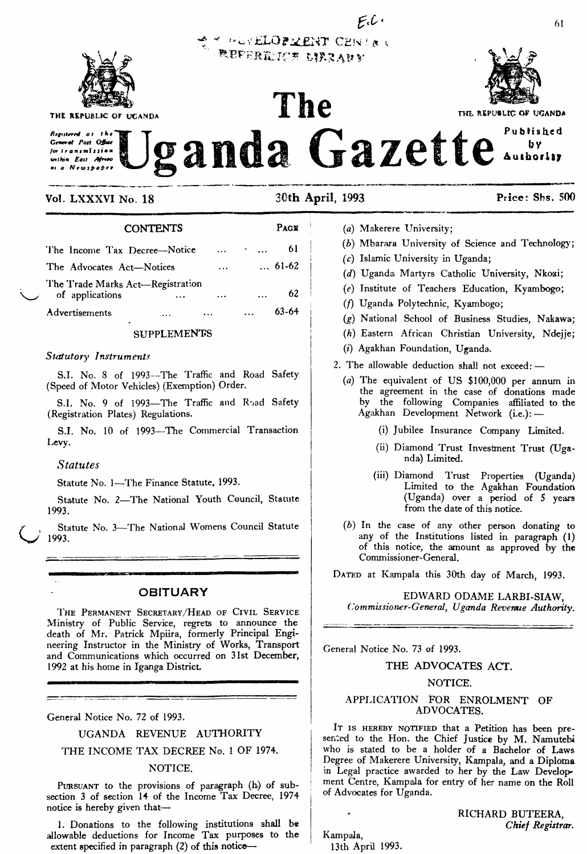

THE REPUBLIC OF UCANDA

Resistered of the **General Post Office** unthin East Africa

# THE REPUBLIC OF UGANDA Published ganda Gazette  $by$ Aushorisy

 $F.C.$ 

### Vol. LXXXVI No. 18

30th April, 1993

**TERLOPMENT CENTRA** refericte urrauv

The



**CONTENTS** PAGE 61 The Income Tax Decree-Notice  $... 61-62$ The Advocates Act-Notices The Trade Marks Act-Registration 62 of applications  $63 - 64$ Advertisements  $\ddotsc$  $\ddotsc$ 

# **SUPPLEMENTS**

### Statutory Instruments

S.I. No. 8 of 1993-The Traffic and Road Safety (Speed of Motor Vehicles) (Exemption) Order.

S.I. No. 9 of 1993-The Traffic and Road Safety (Registration Plates) Regulations.

S.I. No. 10 of 1993-The Commercial Transaction Levy.

### **Statutes**

Statute No. 1-The Finance Statute, 1993.

Statute No. 2-The National Youth Council, Statute 1993.

Statute No. 3-The National Womens Council Statute 1993.

# **OBITUARY**

THE PERMANENT SECRETARY/HEAD OF CIVIL SERVICE Ministry of Public Service, regrets to announce the death of Mr. Patrick Mpiira, formerly Principal Engineering Instructor in the Ministry of Works, Transport and Communications which occurred on 31st December, 1992 at his home in Iganga District.

General Notice No. 72 of 1993.

UGANDA REVENUE AUTHORITY

THE INCOME TAX DECREE No. 1 OF 1974.

## NOTICE.

PURSUANT to the provisions of paragraph (h) of subsection 3 of section 14 of the Income Tax Decree, 1974 notice is hereby given that-

1. Donations to the following institutions shall be allowable deductions for Income Tax purposes to the extent specified in paragraph (2) of this notice-

- (a) Makerere University;
- (b) Mbarara University of Science and Technology;
- $(c)$  Islamic University in Uganda;
- (d) Uganda Martyrs Catholic University, Nkozi;
- (e) Institute of Teachers Education, Kyambogo;
- (f) Uganda Polytechnic, Kyambogo;
- (g) National School of Business Studies, Nakawa;
- (h) Eastern African Christian University, Ndejje;
- (i) Agakhan Foundation, Uganda.
- 2. The allowable deduction shall not exceed: -
	- (a) The equivalent of US \$100,000 per annum in the agreement in the case of donations made<br>by the following Companies affiliated to the Agakhan Development Network (i.e.): -
		- (i) Jubilee Insurance Company Limited.
		- (ii) Diamond Trust Investment Trust (Uganda) Limited.
		- (iii) Diamond Trust Properties (Uganda) Limited to the Agakhan Foundation (Uganda) over a period of 5 years from the date of this notice.
	- (b) In the case of any other person donating to any of the Institutions listed in paragraph (1) of this notice, the amount as approved by the Commissioner-General.

DATED at Kampala this 30th day of March, 1993.

### EDWARD ODAME LARBI-SIAW, Commissioner-General, Uganda Revenue Authority.

General Notice No. 73 of 1993.

# THE ADVOCATES ACT.

### NOTICE.

### APPLICATION FOR ENROLMENT OF ADVOCATES.

IT IS HEREBY NOTIFIED that a Petition has been presented to the Hon. the Chief Justice by M. Namutebi who is stated to be a holder of a Bachelor of Laws Degree of Makerere University, Kampala, and a Diploma in Legal practice awarded to her by the Law Development Centre, Kampala for entry of her name on the Roll of Advocates for Uganda.

> RICHARD BUTEERA, Chief Registrar.

Kampala, 13th April 1993.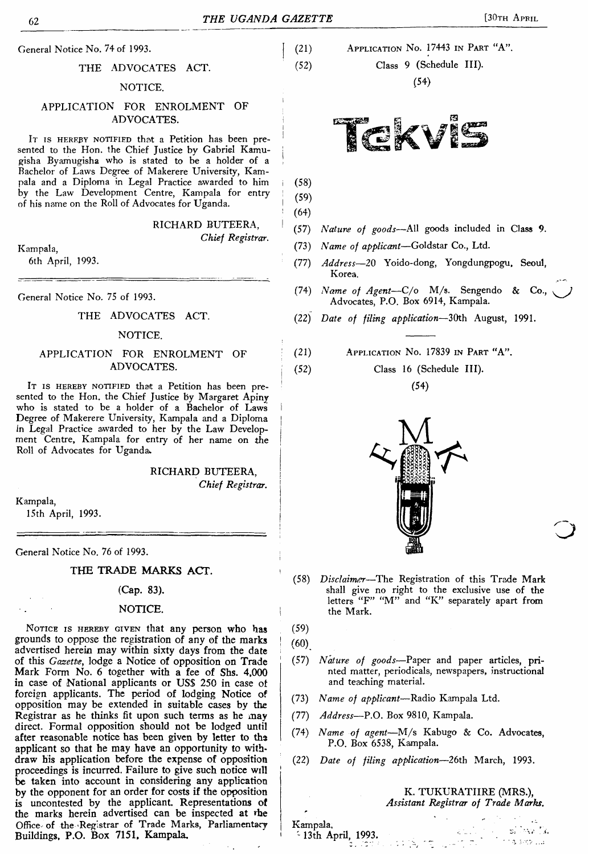## THE ADVOCATES ACT.

### NOTICE.

# APPLICATION FOR ENROLMENT OF ADVOCATES.

It is HEREBY NOTIFIED that a Petition has been presented to the Hon. the Chief Justice by Gabriel Kamugisha Byamugisha who is stated to be a holder of a Bachelor of Laws Degree of Makerere University, Kampala and a Diploma in Legal Practice awarded to him by the Law Development Centre, Kampala for entry of his name on the Roll of Advocates for Uganda.

RICHARD BUTEERA,

### *Chief Registrar.*

Kampala,

6th April, 1993.

General Notice No. 75 of 1993.

### THE ADVOCATES ACT.

#### NOTICE.

# APPLICATION FOR ENROLMENT OF ADVOCATES.

IT IS HEREBY NOTIFIED that a Petition has been presented to the Hon. the Chief Justice by Margaret Apiny who is stated to be a holder of a Bachelor of Laws Degree of Makerere University, Kampala and a Diploma In Legal Practice awarded to her by the Law Development Centre, Kampala for entry of her name on the Roll of Advocates for Uganda^

> RICHARD BUTEERA, *Chief Registrar.*

Kampala, 15th April, 1993.

General Notice No. 76 of 1993.

THE TRADE MARKS ACT.

#### (Cap. 83).

### NOTICE.

NOTICE IS HEREBY GIVEN that any person who has grounds to oppose the registration of any of the marks advertised herein may within sixty days from the date of this *Gazette,* lodge a Notice of opposition on Trade Mark Form No. 6 together with a *fee of* Shs. 4,000 in case of National applicants or US\$ 250 in case of foreign applicants. The period of lodging Notice of opposition may be extended in suitable cases by the Registrar as he thinks fit upon such terms as he may direct. Formal opposition should not be lodged until after reasonable notice has been given by letter to ths applicant so that he may have an opportunity to withdraw his application before the expense of opposition proceedings is incurred. Failure to give such notice will be taken into account in considering any application by the opponent for an order for costs if the opposition is uncontested by the applicant. Representations of the marks herein advertised can be inspected at rhe Office of the Registrar of Trade Marks, Parliamentary Buildings, P.O. Box 7151, Kampala.

(21) Application N<sup>o</sup>. 17443 in Part "A".

(52) Class 9 (Schedule III).

(54)



<sup>i</sup> (58)

 $(59)$  $(64)$ 

- <sup>I</sup> (57) *Nature of goods—*All goods included in Class 9.
- (73) *Name of applicant—*Goldstar Co., Ltd.
- (77) *Address—*20 Yoido-dong, Yongdungpogu, Seoul, Korea.
- (74) *Name of Agent—*C/o M/s. Sengendo & Co., Advocates, P.O. Box 6914, Kampala.
- (22) *Date of filing application—*30th August, 1991.
- (21) Application N<sup>o</sup>. 17839 in Part "A".
- <sup>i</sup> (52) Class 16 (Schedule HI).  $(54)$



- (58) *Disclaimer—*The Registration of this Trade Mark shall give no right to the exclusive use of the letters "F" "M" and "K" separately apart from the Mark.
- (59)

 $(60)$ 

'

- (57) *Nature of goods*—Paper and paper articles, printed matter, periodicals, newspapers, instructional and teaching material.
- (73) *Name of applicant—*Radio Kampala Ltd.
- (77) *Address—*P.O. Box 9810, Kampala.
- (74) *Name of agent—*M/s Kabugo & Co. Advocates, P.O. Box 6538, Kampala.
- (22) *Date of filing application—*26th March, 1993.

### K. TUKURATIIRE (MRS.), *Assistant Registrar of Trade Marks.*

 $\mathcal{L}_{\mathcal{A}}$  $3.385...$ 

Kampala, <sup>~</sup> 13th April, 1993,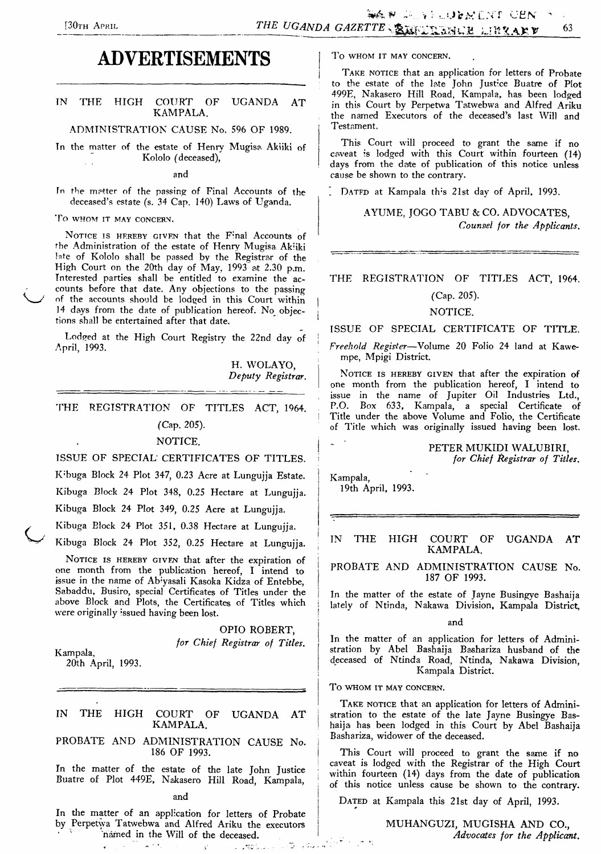# **ADVERTISEMENTS**

### TN THE HIGH COURT OF UGANDA AT KAMPALA.

ADMINISTRATION CAUSE No. 596 OF 1989.

Tn the matter of the estate of Henry Mugisa Akiiki of Kololo (deceased),

and

In the matter of the passing of Final Accounts of the deceased's estate (s. 34 Cap. 140) Laws of Uganda.

**To WHOM IT MAY CONCERN.**

NOTICE IS HEREBY GIVEN that the Final Accounts of the Administration of the estate of Henry Mugisa Akiiki late of Kololo shall be passed by the Registrar of the High Court on the 20th day of May, 1993 at 2.30 p.m. Interested parties shall be entitled to examine the accounts before that date. Any objections to the passing of the accounts should be lodged in this Court within 14 days from the date of publication hereof. No objections shall be entertained after that date.

Lodged at the High Court Registry the 22nd day of April, 1993.

> H. WOLAYO, *Deputy Registrar.*

THE REGISTRATION OF TITLES ACT, 1964.

### (Cap. 205).

### NOTICE.

ISSUE OF SPECIAL CERTIFICATES OF TITLES.

K'buga Block 24 Plot 347, 0.23 Acre at Lungujja Estate. Kibuga Block 24 Plot 348, 0.25 Hectare at Lungujja.

Kibuga Block 24 Plot 349, 0.25 Acre at Lungujja.

Kibuga Block 24 Plot 351, 0.38 Hectare at Lungujja.

Kibuga Block 24 Plot 352, 0.25 Hectare at Lungujja.

NOTICE IS HEREBY GIVEN that after the expiration of one month from the publication hereof, I intend to issue in the name of Abiyasali Kasoka Kidza of Entebbe, Sabaddu, Busiro, special Certificates of Titles under the above Block and Plots, the Certificates of Titles which were originally issued having been lost.

> OPIO ROBERT, *for Chief Registrar of Titles.*

Kampala,

20th April, 1993.

# IN THE HIGH COURT OF UGANDA AT KAMPALA.

PROBATE AND ADMINISTRATION CAUSE No. 186 OF 1993.

In the matter of the estate of the late John Justice Buatre of Plot 449E, Nakasero Hill Road, Kampala,

and

In the matter of an application for letters of Probate by Perpetwa Tatwebwa and Alfred Ariku the executors 'named in the Will of the deceased.

 $\chi^*$ 

in in 1905 bis 191

 $\frac{1}{\sqrt{2}}$  ,  $\frac{1}{\sqrt{2}}$ 

To **WHOM IT MAY CONCERN.**

TAKE NOTICE that an application for letters of Probate to the estate of the late John Just'ce Buatre of Plot 499E, Nakasero Hill Road, Kampala, has been lodged in this Court by Perpetwa Tatwebwa and Alfred Ariku the named Executors of the deceased's last Will and Testament.

This Court will proceed to grant the same if no caveat is lodged with this Court within fourteen (14) days from the date of publication of this notice unless cause be shown to the contrary.

. DATED at Kampala this 21st day of April, 1993.

AYUME, JOGO TABU & CO. ADVOCATES, *Counsel for the Applicants.*

THE REGISTRATION OF TITLES ACT, 1964.

# (Cap. 205).

### NOTICE.

ISSUE OF SPECIAL CERTIFICATE OF TITLE.

*<sup>1</sup> Freehold Register—*Volume 20 Folio 24 land at Kawempe, Mpigi District.

NOTICE IS HEREBY GIVEN that after the expiration of one month from the publication hereof, I intend to issue in the name of Jupiter Oil Industries Ltd., P.O. Box 633, Kampala, a special Certificate of Title under the above Volume and Folio, the Certificate of Title which was originally issued having been lost.

# PETER MUKIDI WALUBIRI,

*for Chief Registrar of Titles.*

Kampala, 19th April, 1993.

IN THE HIGH COURT OF UGANDA AT ! KAMPALA.

PROBATE AND ADMINISTRATION CAUSE No. 187 OF 1993.

In the matter of the estate of Jayne Busingye Bashaija lately of Ntinda, Nakawa Division, Kampala District,

**I** and **and** 

In the matter of an application for letters of Admini-<sup>I</sup> stration by Abel Bashaija Bashariza husband of the deceased of Ntinda Road, Ntinda, Nakawa Division, Kampala District.

To WHOM it may concern.

*'*

TAKE NOTICE that an application for letters of Administration to the estate of the late Jayne Busingye Bashaija has been lodged in this Court by Abel Bashaija Bashariza, widower of the deceased.

This Court will proceed to grant the same if no caveat is lodged with the Registrar of the High Court within fourteen (14) days from the date of publication of this notice unless cause be shown to the contrary.

DATED at Kampala this 21st day of April, 1993.

<sup>j</sup> MUHANGUZI, MUGISHA AND CO., *. \_ Advocates for the Applicant.*